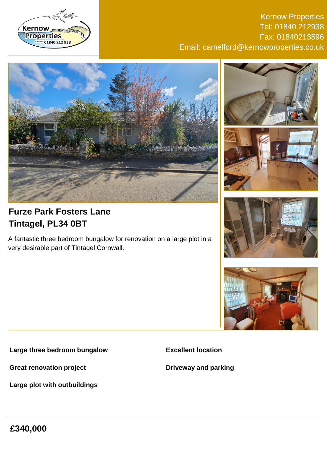

### Kernow Properties Tel: 01840 212938 Fax: 01840213596 Email: camelford@kernowproperties.co.uk







# **Furze Park Fosters Lane Tintagel, PL34 0BT**

A fantastic three bedroom bungalow for renovation on a large plot in a very desirable part of Tintagel Cornwall.





**Large three bedroom bungalow**

**Great renovation project**

**Large plot with outbuildings**

**Excellent location**

**Driveway and parking**

**£340,000**